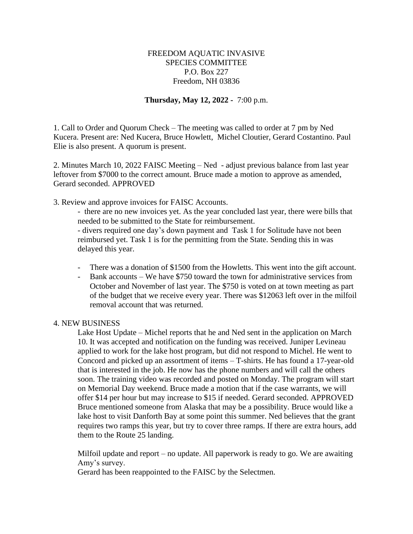## FREEDOM AQUATIC INVASIVE SPECIES COMMITTEE P.O. Box 227 Freedom, NH 03836

## **Thursday, May 12, 2022 -** 7:00 p.m.

1. Call to Order and Quorum Check – The meeting was called to order at 7 pm by Ned Kucera. Present are: Ned Kucera, Bruce Howlett, Michel Cloutier, Gerard Costantino. Paul Elie is also present. A quorum is present.

2. Minutes March 10, 2022 FAISC Meeting – Ned - adjust previous balance from last year leftover from \$7000 to the correct amount. Bruce made a motion to approve as amended, Gerard seconded. APPROVED

3. Review and approve invoices for FAISC Accounts.

- there are no new invoices yet. As the year concluded last year, there were bills that needed to be submitted to the State for reimbursement.

- divers required one day's down payment and Task 1 for Solitude have not been reimbursed yet. Task 1 is for the permitting from the State. Sending this in was delayed this year.

- There was a donation of \$1500 from the Howletts. This went into the gift account.
- Bank accounts We have \$750 toward the town for administrative services from October and November of last year. The \$750 is voted on at town meeting as part of the budget that we receive every year. There was \$12063 left over in the milfoil removal account that was returned.

## 4. NEW BUSINESS

Lake Host Update – Michel reports that he and Ned sent in the application on March 10. It was accepted and notification on the funding was received. Juniper Levineau applied to work for the lake host program, but did not respond to Michel. He went to Concord and picked up an assortment of items – T-shirts. He has found a 17-year-old that is interested in the job. He now has the phone numbers and will call the others soon. The training video was recorded and posted on Monday. The program will start on Memorial Day weekend. Bruce made a motion that if the case warrants, we will offer \$14 per hour but may increase to \$15 if needed. Gerard seconded. APPROVED Bruce mentioned someone from Alaska that may be a possibility. Bruce would like a lake host to visit Danforth Bay at some point this summer. Ned believes that the grant requires two ramps this year, but try to cover three ramps. If there are extra hours, add them to the Route 25 landing.

Milfoil update and report – no update. All paperwork is ready to go. We are awaiting Amy's survey.

Gerard has been reappointed to the FAISC by the Selectmen.